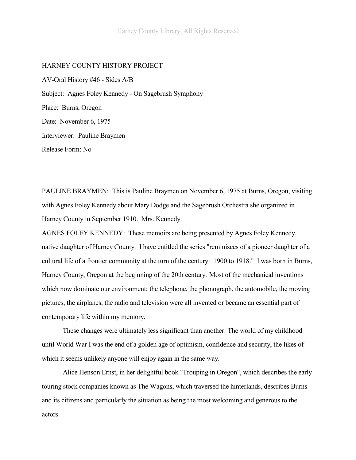#### HARNEY COUNTY HISTORY PROJECT

AV-Oral History #46 - Sides A/B Subject: Agnes Foley Kennedy - On Sagebrush Symphony Place: Burns, Oregon Date: November 6, 1975 Interviewer: Pauline Braymen Release Form: No

PAULINE BRAYMEN: This is Pauline Braymen on November 6, 1975 at Burns, Oregon, visiting with Agnes Foley Kennedy about Mary Dodge and the Sagebrush Orchestra she organized in Harney County in September 1910. Mrs. Kennedy.

AGNES FOLEY KENNEDY: These memoirs are being presented by Agnes Foley Kennedy, native daughter of Harney County. I have entitled the series "reminisces of a pioneer daughter of a cultural life of a frontier community at the turn of the century: 1900 to 1918." I was born in Burns, Harney County, Oregon at the beginning of the 20th century. Most of the mechanical inventions which now dominate our environment; the telephone, the phonograph, the automobile, the moving pictures, the airplanes, the radio and television were all invented or became an essential part of contemporary life within my memory.

These changes were ultimately less significant than another: The world of my childhood until World War I was the end of a golden age of optimism, confidence and security, the likes of which it seems unlikely anyone will enjoy again in the same way.

Alice Henson Ernst, in her delightful book "Trouping in Oregon", which describes the early touring stock companies known as The Wagons, which traversed the hinterlands, describes Burns and its citizens and particularly the situation as being the most welcoming and generous to the actors.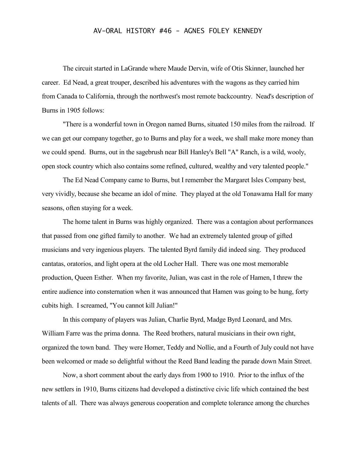The circuit started in LaGrande where Maude Dervin, wife of Otis Skinner, launched her career. Ed Nead, a great trouper, described his adventures with the wagons as they carried him from Canada to California, through the northwest's most remote backcountry. Nead's description of Burns in 1905 follows:

"There is a wonderful town in Oregon named Burns, situated 150 miles from the railroad. If we can get our company together, go to Burns and play for a week, we shall make more money than we could spend. Burns, out in the sagebrush near Bill Hanley's Bell "A" Ranch, is a wild, wooly, open stock country which also contains some refined, cultured, wealthy and very talented people."

The Ed Nead Company came to Burns, but I remember the Margaret Isles Company best, very vividly, because she became an idol of mine. They played at the old Tonawama Hall for many seasons, often staying for a week.

The home talent in Burns was highly organized. There was a contagion about performances that passed from one gifted family to another. We had an extremely talented group of gifted musicians and very ingenious players. The talented Byrd family did indeed sing. They produced cantatas, oratorios, and light opera at the old Locher Hall. There was one most memorable production, Queen Esther. When my favorite, Julian, was cast in the role of Hamen, I threw the entire audience into consternation when it was announced that Hamen was going to be hung, forty cubits high. I screamed, "You cannot kill Julian!"

In this company of players was Julian, Charlie Byrd, Madge Byrd Leonard, and Mrs. William Farre was the prima donna. The Reed brothers, natural musicians in their own right, organized the town band. They were Homer, Teddy and Nollie, and a Fourth of July could not have been welcomed or made so delightful without the Reed Band leading the parade down Main Street.

Now, a short comment about the early days from 1900 to 1910. Prior to the influx of the new settlers in 1910, Burns citizens had developed a distinctive civic life which contained the best talents of all. There was always generous cooperation and complete tolerance among the churches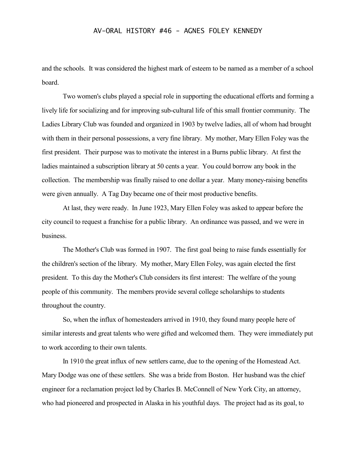and the schools. It was considered the highest mark of esteem to be named as a member of a school board.

Two women's clubs played a special role in supporting the educational efforts and forming a lively life for socializing and for improving sub-cultural life of this small frontier community. The Ladies Library Club was founded and organized in 1903 by twelve ladies, all of whom had brought with them in their personal possessions, a very fine library. My mother, Mary Ellen Foley was the first president. Their purpose was to motivate the interest in a Burns public library. At first the ladies maintained a subscription library at 50 cents a year. You could borrow any book in the collection. The membership was finally raised to one dollar a year. Many money-raising benefits were given annually. A Tag Day became one of their most productive benefits.

At last, they were ready. In June 1923, Mary Ellen Foley was asked to appear before the city council to request a franchise for a public library. An ordinance was passed, and we were in business.

The Mother's Club was formed in 1907. The first goal being to raise funds essentially for the children's section of the library. My mother, Mary Ellen Foley, was again elected the first president. To this day the Mother's Club considers its first interest: The welfare of the young people of this community. The members provide several college scholarships to students throughout the country.

So, when the influx of homesteaders arrived in 1910, they found many people here of similar interests and great talents who were gifted and welcomed them. They were immediately put to work according to their own talents.

In 1910 the great influx of new settlers came, due to the opening of the Homestead Act. Mary Dodge was one of these settlers. She was a bride from Boston. Her husband was the chief engineer for a reclamation project led by Charles B. McConnell of New York City, an attorney, who had pioneered and prospected in Alaska in his youthful days. The project had as its goal, to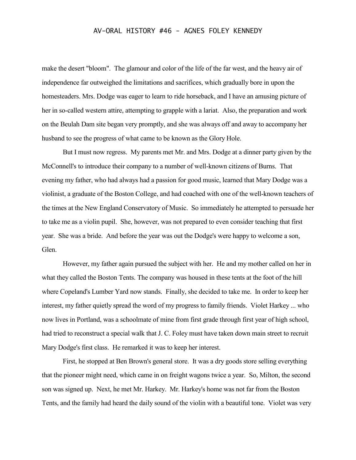make the desert "bloom". The glamour and color of the life of the far west, and the heavy air of independence far outweighed the limitations and sacrifices, which gradually bore in upon the homesteaders. Mrs. Dodge was eager to learn to ride horseback, and I have an amusing picture of her in so-called western attire, attempting to grapple with a lariat. Also, the preparation and work on the Beulah Dam site began very promptly, and she was always off and away to accompany her husband to see the progress of what came to be known as the Glory Hole.

But I must now regress. My parents met Mr. and Mrs. Dodge at a dinner party given by the McConnell's to introduce their company to a number of well-known citizens of Burns. That evening my father, who had always had a passion for good music, learned that Mary Dodge was a violinist, a graduate of the Boston College, and had coached with one of the well-known teachers of the times at the New England Conservatory of Music. So immediately he attempted to persuade her to take me as a violin pupil. She, however, was not prepared to even consider teaching that first year. She was a bride. And before the year was out the Dodge's were happy to welcome a son, Glen.

However, my father again pursued the subject with her. He and my mother called on her in what they called the Boston Tents. The company was housed in these tents at the foot of the hill where Copeland's Lumber Yard now stands. Finally, she decided to take me. In order to keep her interest, my father quietly spread the word of my progress to family friends. Violet Harkey ... who now lives in Portland, was a schoolmate of mine from first grade through first year of high school, had tried to reconstruct a special walk that J. C. Foley must have taken down main street to recruit Mary Dodge's first class. He remarked it was to keep her interest.

First, he stopped at Ben Brown's general store. It was a dry goods store selling everything that the pioneer might need, which came in on freight wagons twice a year. So, Milton, the second son was signed up. Next, he met Mr. Harkey. Mr. Harkey's home was not far from the Boston Tents, and the family had heard the daily sound of the violin with a beautiful tone. Violet was very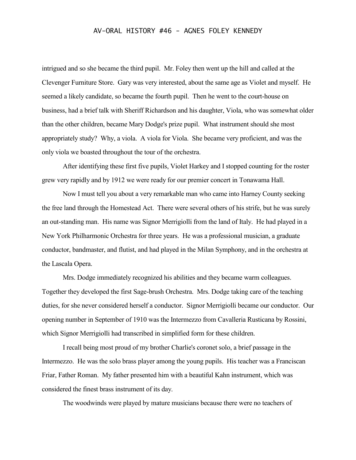intrigued and so she became the third pupil. Mr. Foley then went up the hill and called at the Clevenger Furniture Store. Gary was very interested, about the same age as Violet and myself. He seemed a likely candidate, so became the fourth pupil. Then he went to the court-house on business, had a brief talk with Sheriff Richardson and his daughter, Viola, who was somewhat older than the other children, became Mary Dodge's prize pupil. What instrument should she most appropriately study? Why, a viola. A viola for Viola. She became very proficient, and was the only viola we boasted throughout the tour of the orchestra.

After identifying these first five pupils, Violet Harkey and I stopped counting for the roster grew very rapidly and by 1912 we were ready for our premier concert in Tonawama Hall.

Now I must tell you about a very remarkable man who came into Harney County seeking the free land through the Homestead Act. There were several others of his strife, but he was surely an out-standing man. His name was Signor Merrigiolli from the land of Italy. He had played in a New York Philharmonic Orchestra for three years. He was a professional musician, a graduate conductor, bandmaster, and flutist, and had played in the Milan Symphony, and in the orchestra at the Lascala Opera.

Mrs. Dodge immediately recognized his abilities and they became warm colleagues. Together they developed the first Sage-brush Orchestra. Mrs. Dodge taking care of the teaching duties, for she never considered herself a conductor. Signor Merrigiolli became our conductor. Our opening number in September of 1910 was the Intermezzo from Cavalleria Rusticana by Rossini, which Signor Merrigiolli had transcribed in simplified form for these children.

I recall being most proud of my brother Charlie's coronet solo, a brief passage in the Intermezzo. He was the solo brass player among the young pupils. His teacher was a Franciscan Friar, Father Roman. My father presented him with a beautiful Kahn instrument, which was considered the finest brass instrument of its day.

The woodwinds were played by mature musicians because there were no teachers of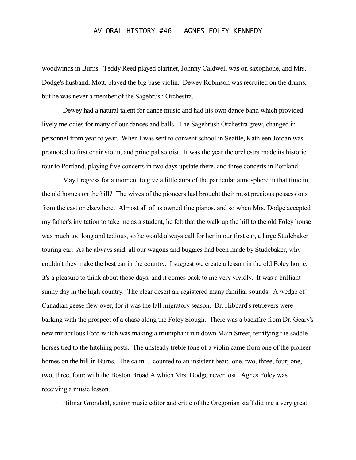woodwinds in Burns. Teddy Reed played clarinet, Johnny Caldwell was on saxophone, and Mrs. Dodge's husband, Mott, played the big base violin. Dewey Robinson was recruited on the drums, but he was never a member of the Sagebrush Orchestra.

Dewey had a natural talent for dance music and had his own dance band which provided lively melodies for many of our dances and balls. The Sagebrush Orchestra grew, changed in personnel from year to year. When I was sent to convent school in Seattle, Kathleen Jordan was promoted to first chair violin, and principal soloist. It was the year the orchestra made its historic tour to Portland, playing five concerts in two days upstate there, and three concerts in Portland.

May I regress for a moment to give a little aura of the particular atmosphere in that time in the old homes on the hill? The wives of the pioneers had brought their most precious possessions from the east or elsewhere. Almost all of us owned fine pianos, and so when Mrs. Dodge accepted my father's invitation to take me as a student, he felt that the walk up the hill to the old Foley house was much too long and tedious, so he would always call for her in our first car, a large Studebaker touring car. As he always said, all our wagons and buggies had been made by Studebaker, why couldn't they make the best car in the country. I suggest we create a lesson in the old Foley home. It's a pleasure to think about those days, and it comes back to me very vividly. It was a brilliant sunny day in the high country. The clear desert air registered many familiar sounds. A wedge of Canadian geese flew over, for it was the fall migratory season. Dr. Hibbard's retrievers were barking with the prospect of a chase along the Foley Slough. There was a backfire from Dr. Geary's new miraculous Ford which was making a triumphant run down Main Street, terrifying the saddle horses tied to the hitching posts. The unsteady treble tone of a violin came from one of the pioneer homes on the hill in Burns. The calm ... counted to an insistent beat: one, two, three, four; one, two, three, four; with the Boston Broad A which Mrs. Dodge never lost. Agnes Foley was receiving a music lesson.

Hilmar Grondahl, senior music editor and critic of the Oregonian staff did me a very great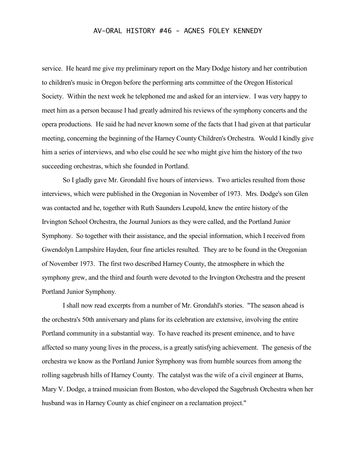service. He heard me give my preliminary report on the Mary Dodge history and her contribution to children's music in Oregon before the performing arts committee of the Oregon Historical Society. Within the next week he telephoned me and asked for an interview. I was very happy to meet him as a person because I had greatly admired his reviews of the symphony concerts and the opera productions. He said he had never known some of the facts that I had given at that particular meeting, concerning the beginning of the Harney County Children's Orchestra. Would I kindly give him a series of interviews, and who else could he see who might give him the history of the two succeeding orchestras, which she founded in Portland.

So I gladly gave Mr. Grondahl five hours of interviews. Two articles resulted from those interviews, which were published in the Oregonian in November of 1973. Mrs. Dodge's son Glen was contacted and he, together with Ruth Saunders Leupold, knew the entire history of the Irvington School Orchestra, the Journal Juniors as they were called, and the Portland Junior Symphony. So together with their assistance, and the special information, which I received from Gwendolyn Lampshire Hayden, four fine articles resulted. They are to be found in the Oregonian of November 1973. The first two described Harney County, the atmosphere in which the symphony grew, and the third and fourth were devoted to the Irvington Orchestra and the present Portland Junior Symphony.

I shall now read excerpts from a number of Mr. Grondahl's stories. "The season ahead is the orchestra's 50th anniversary and plans for its celebration are extensive, involving the entire Portland community in a substantial way. To have reached its present eminence, and to have affected so many young lives in the process, is a greatly satisfying achievement. The genesis of the orchestra we know as the Portland Junior Symphony was from humble sources from among the rolling sagebrush hills of Harney County. The catalyst was the wife of a civil engineer at Burns, Mary V. Dodge, a trained musician from Boston, who developed the Sagebrush Orchestra when her husband was in Harney County as chief engineer on a reclamation project."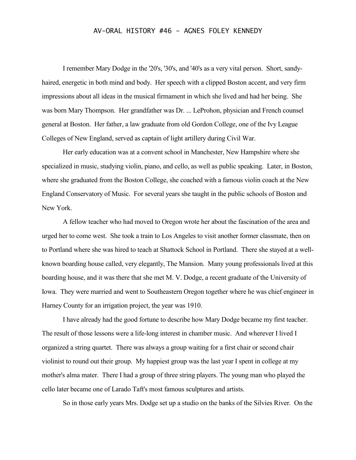I remember Mary Dodge in the '20's, '30's, and '40's as a very vital person. Short, sandyhaired, energetic in both mind and body. Her speech with a clipped Boston accent, and very firm impressions about all ideas in the musical firmament in which she lived and had her being. She was born Mary Thompson. Her grandfather was Dr. ... LeProhon, physician and French counsel general at Boston. Her father, a law graduate from old Gordon College, one of the Ivy League Colleges of New England, served as captain of light artillery during Civil War.

Her early education was at a convent school in Manchester, New Hampshire where she specialized in music, studying violin, piano, and cello, as well as public speaking. Later, in Boston, where she graduated from the Boston College, she coached with a famous violin coach at the New England Conservatory of Music. For several years she taught in the public schools of Boston and New York.

A fellow teacher who had moved to Oregon wrote her about the fascination of the area and urged her to come west. She took a train to Los Angeles to visit another former classmate, then on to Portland where she was hired to teach at Shattock School in Portland. There she stayed at a wellknown boarding house called, very elegantly, The Mansion. Many young professionals lived at this boarding house, and it was there that she met M. V. Dodge, a recent graduate of the University of Iowa. They were married and went to Southeastern Oregon together where he was chief engineer in Harney County for an irrigation project, the year was 1910.

I have already had the good fortune to describe how Mary Dodge became my first teacher. The result of those lessons were a life-long interest in chamber music. And wherever I lived I organized a string quartet. There was always a group waiting for a first chair or second chair violinist to round out their group. My happiest group was the last year I spent in college at my mother's alma mater. There I had a group of three string players. The young man who played the cello later became one of Larado Taft's most famous sculptures and artists.

So in those early years Mrs. Dodge set up a studio on the banks of the Silvies River. On the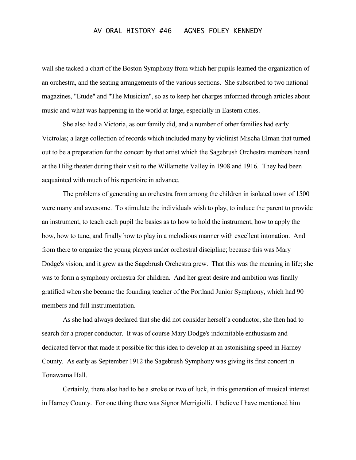wall she tacked a chart of the Boston Symphony from which her pupils learned the organization of an orchestra, and the seating arrangements of the various sections. She subscribed to two national magazines, "Etude" and "The Musician", so as to keep her charges informed through articles about music and what was happening in the world at large, especially in Eastern cities.

She also had a Victoria, as our family did, and a number of other families had early Victrolas; a large collection of records which included many by violinist Mischa Elman that turned out to be a preparation for the concert by that artist which the Sagebrush Orchestra members heard at the Hilig theater during their visit to the Willamette Valley in 1908 and 1916. They had been acquainted with much of his repertoire in advance.

The problems of generating an orchestra from among the children in isolated town of 1500 were many and awesome. To stimulate the individuals wish to play, to induce the parent to provide an instrument, to teach each pupil the basics as to how to hold the instrument, how to apply the bow, how to tune, and finally how to play in a melodious manner with excellent intonation. And from there to organize the young players under orchestral discipline; because this was Mary Dodge's vision, and it grew as the Sagebrush Orchestra grew. That this was the meaning in life; she was to form a symphony orchestra for children. And her great desire and ambition was finally gratified when she became the founding teacher of the Portland Junior Symphony, which had 90 members and full instrumentation.

As she had always declared that she did not consider herself a conductor, she then had to search for a proper conductor. It was of course Mary Dodge's indomitable enthusiasm and dedicated fervor that made it possible for this idea to develop at an astonishing speed in Harney County. As early as September 1912 the Sagebrush Symphony was giving its first concert in Tonawama Hall.

Certainly, there also had to be a stroke or two of luck, in this generation of musical interest in Harney County. For one thing there was Signor Merrigiolli. I believe I have mentioned him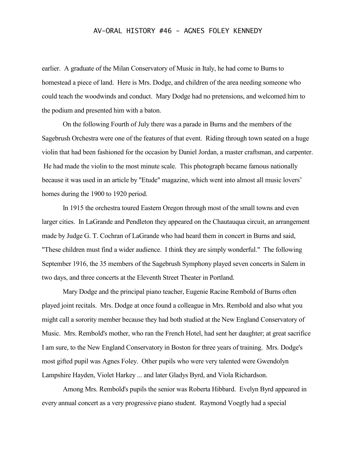earlier. A graduate of the Milan Conservatory of Music in Italy, he had come to Burns to homestead a piece of land. Here is Mrs. Dodge, and children of the area needing someone who could teach the woodwinds and conduct. Mary Dodge had no pretensions, and welcomed him to the podium and presented him with a baton.

On the following Fourth of July there was a parade in Burns and the members of the Sagebrush Orchestra were one of the features of that event. Riding through town seated on a huge violin that had been fashioned for the occasion by Daniel Jordan, a master craftsman, and carpenter. He had made the violin to the most minute scale. This photograph became famous nationally because it was used in an article by "Etude" magazine, which went into almost all music lovers' homes during the 1900 to 1920 period.

In 1915 the orchestra toured Eastern Oregon through most of the small towns and even larger cities. In LaGrande and Pendleton they appeared on the Chautauqua circuit, an arrangement made by Judge G. T. Cochran of LaGrande who had heard them in concert in Burns and said, "These children must find a wider audience. I think they are simply wonderful." The following September 1916, the 35 members of the Sagebrush Symphony played seven concerts in Salem in two days, and three concerts at the Eleventh Street Theater in Portland.

Mary Dodge and the principal piano teacher, Eugenie Racine Rembold of Burns often played joint recitals. Mrs. Dodge at once found a colleague in Mrs. Rembold and also what you might call a sorority member because they had both studied at the New England Conservatory of Music. Mrs. Rembold's mother, who ran the French Hotel, had sent her daughter; at great sacrifice I am sure, to the New England Conservatory in Boston for three years of training. Mrs. Dodge's most gifted pupil was Agnes Foley. Other pupils who were very talented were Gwendolyn Lampshire Hayden, Violet Harkey ... and later Gladys Byrd, and Viola Richardson.

Among Mrs. Rembold's pupils the senior was Roberta Hibbard. Evelyn Byrd appeared in every annual concert as a very progressive piano student. Raymond Voegtly had a special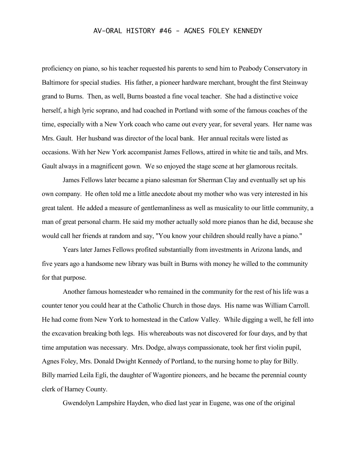proficiency on piano, so his teacher requested his parents to send him to Peabody Conservatory in Baltimore for special studies. His father, a pioneer hardware merchant, brought the first Steinway grand to Burns. Then, as well, Burns boasted a fine vocal teacher. She had a distinctive voice herself, a high lyric soprano, and had coached in Portland with some of the famous coaches of the time, especially with a New York coach who came out every year, for several years. Her name was Mrs. Gault. Her husband was director of the local bank. Her annual recitals were listed as occasions. With her New York accompanist James Fellows, attired in white tie and tails, and Mrs. Gault always in a magnificent gown. We so enjoyed the stage scene at her glamorous recitals.

James Fellows later became a piano salesman for Sherman Clay and eventually set up his own company. He often told me a little anecdote about my mother who was very interested in his great talent. He added a measure of gentlemanliness as well as musicality to our little community, a man of great personal charm. He said my mother actually sold more pianos than he did, because she would call her friends at random and say, "You know your children should really have a piano."

Years later James Fellows profited substantially from investments in Arizona lands, and five years ago a handsome new library was built in Burns with money he willed to the community for that purpose.

Another famous homesteader who remained in the community for the rest of his life was a counter tenor you could hear at the Catholic Church in those days. His name was William Carroll. He had come from New York to homestead in the Catlow Valley. While digging a well, he fell into the excavation breaking both legs. His whereabouts was not discovered for four days, and by that time amputation was necessary. Mrs. Dodge, always compassionate, took her first violin pupil, Agnes Foley, Mrs. Donald Dwight Kennedy of Portland, to the nursing home to play for Billy. Billy married Leila Egli, the daughter of Wagontire pioneers, and he became the perennial county clerk of Harney County.

Gwendolyn Lampshire Hayden, who died last year in Eugene, was one of the original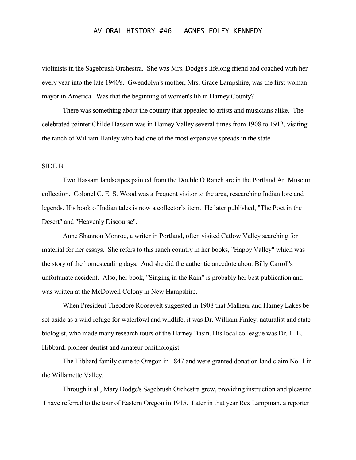violinists in the Sagebrush Orchestra. She was Mrs. Dodge's lifelong friend and coached with her every year into the late 1940's. Gwendolyn's mother, Mrs. Grace Lampshire, was the first woman mayor in America. Was that the beginning of women's lib in Harney County?

There was something about the country that appealed to artists and musicians alike. The celebrated painter Childe Hassam was in Harney Valley several times from 1908 to 1912, visiting the ranch of William Hanley who had one of the most expansive spreads in the state.

## SIDE B

Two Hassam landscapes painted from the Double O Ranch are in the Portland Art Museum collection. Colonel C. E. S. Wood was a frequent visitor to the area, researching Indian lore and legends. His book of Indian tales is now a collector's item. He later published, "The Poet in the Desert" and "Heavenly Discourse".

Anne Shannon Monroe, a writer in Portland, often visited Catlow Valley searching for material for her essays. She refers to this ranch country in her books, "Happy Valley" which was the story of the homesteading days. And she did the authentic anecdote about Billy Carroll's unfortunate accident. Also, her book, "Singing in the Rain" is probably her best publication and was written at the McDowell Colony in New Hampshire.

When President Theodore Roosevelt suggested in 1908 that Malheur and Harney Lakes be set-aside as a wild refuge for waterfowl and wildlife, it was Dr. William Finley, naturalist and state biologist, who made many research tours of the Harney Basin. His local colleague was Dr. L. E. Hibbard, pioneer dentist and amateur ornithologist.

The Hibbard family came to Oregon in 1847 and were granted donation land claim No. 1 in the Willamette Valley.

Through it all, Mary Dodge's Sagebrush Orchestra grew, providing instruction and pleasure. I have referred to the tour of Eastern Oregon in 1915. Later in that year Rex Lampman, a reporter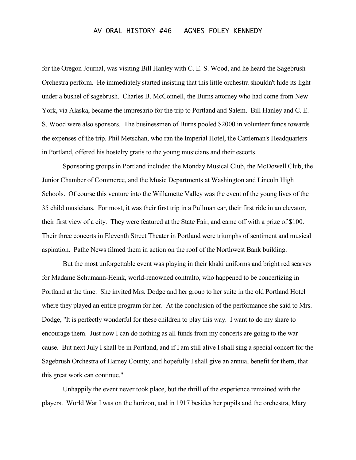for the Oregon Journal, was visiting Bill Hanley with C. E. S. Wood, and he heard the Sagebrush Orchestra perform. He immediately started insisting that this little orchestra shouldn't hide its light under a bushel of sagebrush. Charles B. McConnell, the Burns attorney who had come from New York, via Alaska, became the impresario for the trip to Portland and Salem. Bill Hanley and C. E. S. Wood were also sponsors. The businessmen of Burns pooled \$2000 in volunteer funds towards the expenses of the trip. Phil Metschan, who ran the Imperial Hotel, the Cattleman's Headquarters in Portland, offered his hostelry gratis to the young musicians and their escorts.

Sponsoring groups in Portland included the Monday Musical Club, the McDowell Club, the Junior Chamber of Commerce, and the Music Departments at Washington and Lincoln High Schools. Of course this venture into the Willamette Valley was the event of the young lives of the 35 child musicians. For most, it was their first trip in a Pullman car, their first ride in an elevator, their first view of a city. They were featured at the State Fair, and came off with a prize of \$100. Their three concerts in Eleventh Street Theater in Portland were triumphs of sentiment and musical aspiration. Pathe News filmed them in action on the roof of the Northwest Bank building.

But the most unforgettable event was playing in their khaki uniforms and bright red scarves for Madame Schumann-Heink, world-renowned contralto, who happened to be concertizing in Portland at the time. She invited Mrs. Dodge and her group to her suite in the old Portland Hotel where they played an entire program for her. At the conclusion of the performance she said to Mrs. Dodge, "It is perfectly wonderful for these children to play this way. I want to do my share to encourage them. Just now I can do nothing as all funds from my concerts are going to the war cause. But next July I shall be in Portland, and if I am still alive I shall sing a special concert for the Sagebrush Orchestra of Harney County, and hopefully I shall give an annual benefit for them, that this great work can continue."

Unhappily the event never took place, but the thrill of the experience remained with the players. World War I was on the horizon, and in 1917 besides her pupils and the orchestra, Mary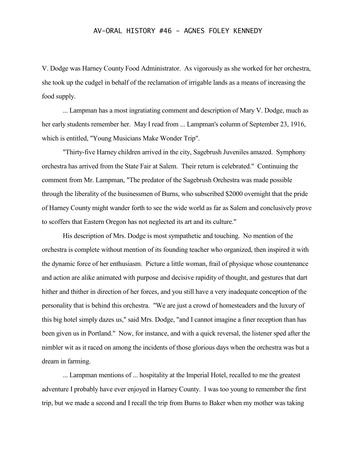V. Dodge was Harney County Food Administrator. As vigorously as she worked for her orchestra, she took up the cudgel in behalf of the reclamation of irrigable lands as a means of increasing the food supply.

... Lampman has a most ingratiating comment and description of Mary V. Dodge, much as her early students remember her. May I read from ... Lampman's column of September 23, 1916, which is entitled, "Young Musicians Make Wonder Trip".

"Thirty-five Harney children arrived in the city, Sagebrush Juveniles amazed. Symphony orchestra has arrived from the State Fair at Salem. Their return is celebrated." Continuing the comment from Mr. Lampman, "The predator of the Sagebrush Orchestra was made possible through the liberality of the businessmen of Burns, who subscribed \$2000 overnight that the pride of Harney County might wander forth to see the wide world as far as Salem and conclusively prove to scoffers that Eastern Oregon has not neglected its art and its culture."

His description of Mrs. Dodge is most sympathetic and touching. No mention of the orchestra is complete without mention of its founding teacher who organized, then inspired it with the dynamic force of her enthusiasm. Picture a little woman, frail of physique whose countenance and action are alike animated with purpose and decisive rapidity of thought, and gestures that dart hither and thither in direction of her forces, and you still have a very inadequate conception of the personality that is behind this orchestra. "We are just a crowd of homesteaders and the luxury of this big hotel simply dazes us," said Mrs. Dodge, "and I cannot imagine a finer reception than has been given us in Portland." Now, for instance, and with a quick reversal, the listener sped after the nimbler wit as it raced on among the incidents of those glorious days when the orchestra was but a dream in farming.

... Lampman mentions of ... hospitality at the Imperial Hotel, recalled to me the greatest adventure I probably have ever enjoyed in Harney County. I was too young to remember the first trip, but we made a second and I recall the trip from Burns to Baker when my mother was taking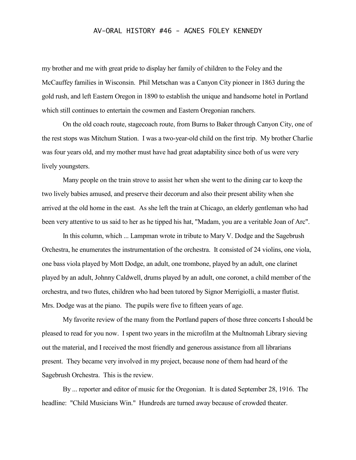my brother and me with great pride to display her family of children to the Foley and the McCauffey families in Wisconsin. Phil Metschan was a Canyon City pioneer in 1863 during the gold rush, and left Eastern Oregon in 1890 to establish the unique and handsome hotel in Portland which still continues to entertain the cowmen and Eastern Oregonian ranchers.

On the old coach route, stagecoach route, from Burns to Baker through Canyon City, one of the rest stops was Mitchum Station. I was a two-year-old child on the first trip. My brother Charlie was four years old, and my mother must have had great adaptability since both of us were very lively youngsters.

Many people on the train strove to assist her when she went to the dining car to keep the two lively babies amused, and preserve their decorum and also their present ability when she arrived at the old home in the east. As she left the train at Chicago, an elderly gentleman who had been very attentive to us said to her as he tipped his hat, "Madam, you are a veritable Joan of Arc".

In this column, which ... Lampman wrote in tribute to Mary V. Dodge and the Sagebrush Orchestra, he enumerates the instrumentation of the orchestra. It consisted of 24 violins, one viola, one bass viola played by Mott Dodge, an adult, one trombone, played by an adult, one clarinet played by an adult, Johnny Caldwell, drums played by an adult, one coronet, a child member of the orchestra, and two flutes, children who had been tutored by Signor Merrigiolli, a master flutist. Mrs. Dodge was at the piano. The pupils were five to fifteen years of age.

My favorite review of the many from the Portland papers of those three concerts I should be pleased to read for you now. I spent two years in the microfilm at the Multnomah Library sieving out the material, and I received the most friendly and generous assistance from all librarians present. They became very involved in my project, because none of them had heard of the Sagebrush Orchestra. This is the review.

By ... reporter and editor of music for the Oregonian. It is dated September 28, 1916. The headline: "Child Musicians Win." Hundreds are turned away because of crowded theater.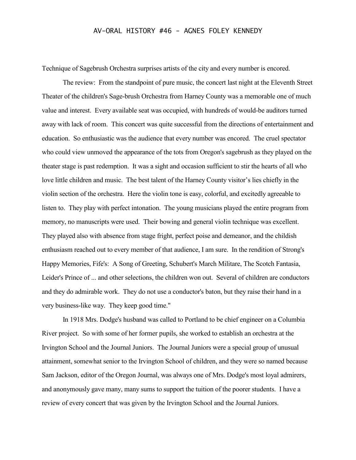Technique of Sagebrush Orchestra surprises artists of the city and every number is encored.

The review: From the standpoint of pure music, the concert last night at the Eleventh Street Theater of the children's Sage-brush Orchestra from Harney County was a memorable one of much value and interest. Every available seat was occupied, with hundreds of would-be auditors turned away with lack of room. This concert was quite successful from the directions of entertainment and education. So enthusiastic was the audience that every number was encored. The cruel spectator who could view unmoved the appearance of the tots from Oregon's sagebrush as they played on the theater stage is past redemption. It was a sight and occasion sufficient to stir the hearts of all who love little children and music. The best talent of the Harney County visitor's lies chiefly in the violin section of the orchestra. Here the violin tone is easy, colorful, and excitedly agreeable to listen to. They play with perfect intonation. The young musicians played the entire program from memory, no manuscripts were used. Their bowing and general violin technique was excellent. They played also with absence from stage fright, perfect poise and demeanor, and the childish enthusiasm reached out to every member of that audience, I am sure. In the rendition of Strong's Happy Memories, Fife's: A Song of Greeting, Schubert's March Militare, The Scotch Fantasia, Leider's Prince of ... and other selections, the children won out. Several of children are conductors and they do admirable work. They do not use a conductor's baton, but they raise their hand in a very business-like way. They keep good time."

In 1918 Mrs. Dodge's husband was called to Portland to be chief engineer on a Columbia River project. So with some of her former pupils, she worked to establish an orchestra at the Irvington School and the Journal Juniors. The Journal Juniors were a special group of unusual attainment, somewhat senior to the Irvington School of children, and they were so named because Sam Jackson, editor of the Oregon Journal, was always one of Mrs. Dodge's most loyal admirers, and anonymously gave many, many sums to support the tuition of the poorer students. I have a review of every concert that was given by the Irvington School and the Journal Juniors.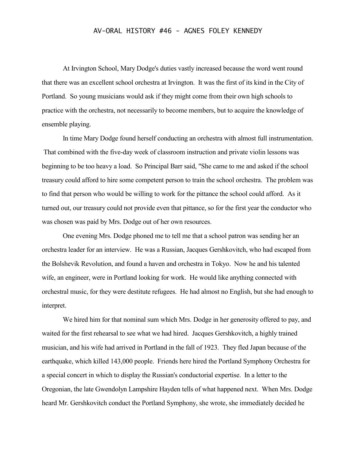At Irvington School, Mary Dodge's duties vastly increased because the word went round that there was an excellent school orchestra at Irvington. It was the first of its kind in the City of Portland. So young musicians would ask if they might come from their own high schools to practice with the orchestra, not necessarily to become members, but to acquire the knowledge of ensemble playing.

In time Mary Dodge found herself conducting an orchestra with almost full instrumentation. That combined with the five-day week of classroom instruction and private violin lessons was beginning to be too heavy a load. So Principal Barr said, "She came to me and asked if the school treasury could afford to hire some competent person to train the school orchestra. The problem was to find that person who would be willing to work for the pittance the school could afford. As it turned out, our treasury could not provide even that pittance, so for the first year the conductor who was chosen was paid by Mrs. Dodge out of her own resources.

One evening Mrs. Dodge phoned me to tell me that a school patron was sending her an orchestra leader for an interview. He was a Russian, Jacques Gershkovitch, who had escaped from the Bolshevik Revolution, and found a haven and orchestra in Tokyo. Now he and his talented wife, an engineer, were in Portland looking for work. He would like anything connected with orchestral music, for they were destitute refugees. He had almost no English, but she had enough to interpret.

We hired him for that nominal sum which Mrs. Dodge in her generosity offered to pay, and waited for the first rehearsal to see what we had hired. Jacques Gershkovitch, a highly trained musician, and his wife had arrived in Portland in the fall of 1923. They fled Japan because of the earthquake, which killed 143,000 people. Friends here hired the Portland Symphony Orchestra for a special concert in which to display the Russian's conductorial expertise. In a letter to the Oregonian, the late Gwendolyn Lampshire Hayden tells of what happened next. When Mrs. Dodge heard Mr. Gershkovitch conduct the Portland Symphony, she wrote, she immediately decided he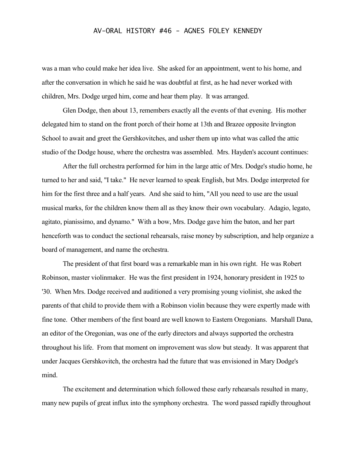was a man who could make her idea live. She asked for an appointment, went to his home, and after the conversation in which he said he was doubtful at first, as he had never worked with children, Mrs. Dodge urged him, come and hear them play. It was arranged.

Glen Dodge, then about 13, remembers exactly all the events of that evening. His mother delegated him to stand on the front porch of their home at 13th and Brazee opposite Irvington School to await and greet the Gershkovitches, and usher them up into what was called the attic studio of the Dodge house, where the orchestra was assembled. Mrs. Hayden's account continues:

After the full orchestra performed for him in the large attic of Mrs. Dodge's studio home, he turned to her and said, "I take." He never learned to speak English, but Mrs. Dodge interpreted for him for the first three and a half years. And she said to him, "All you need to use are the usual musical marks, for the children know them all as they know their own vocabulary. Adagio, legato, agitato, pianissimo, and dynamo." With a bow, Mrs. Dodge gave him the baton, and her part henceforth was to conduct the sectional rehearsals, raise money by subscription, and help organize a board of management, and name the orchestra.

The president of that first board was a remarkable man in his own right. He was Robert Robinson, master violinmaker. He was the first president in 1924, honorary president in 1925 to '30. When Mrs. Dodge received and auditioned a very promising young violinist, she asked the parents of that child to provide them with a Robinson violin because they were expertly made with fine tone. Other members of the first board are well known to Eastern Oregonians. Marshall Dana, an editor of the Oregonian, was one of the early directors and always supported the orchestra throughout his life. From that moment on improvement was slow but steady. It was apparent that under Jacques Gershkovitch, the orchestra had the future that was envisioned in Mary Dodge's mind.

The excitement and determination which followed these early rehearsals resulted in many, many new pupils of great influx into the symphony orchestra. The word passed rapidly throughout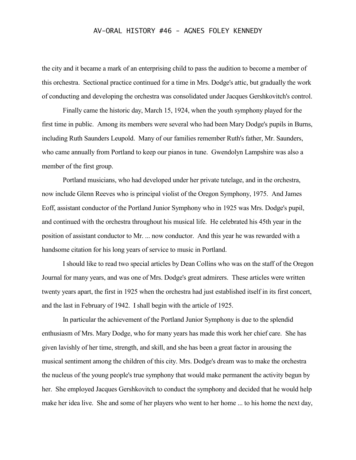the city and it became a mark of an enterprising child to pass the audition to become a member of this orchestra. Sectional practice continued for a time in Mrs. Dodge's attic, but gradually the work of conducting and developing the orchestra was consolidated under Jacques Gershkovitch's control.

Finally came the historic day, March 15, 1924, when the youth symphony played for the first time in public. Among its members were several who had been Mary Dodge's pupils in Burns, including Ruth Saunders Leupold. Many of our families remember Ruth's father, Mr. Saunders, who came annually from Portland to keep our pianos in tune. Gwendolyn Lampshire was also a member of the first group.

Portland musicians, who had developed under her private tutelage, and in the orchestra, now include Glenn Reeves who is principal violist of the Oregon Symphony, 1975. And James Eoff, assistant conductor of the Portland Junior Symphony who in 1925 was Mrs. Dodge's pupil, and continued with the orchestra throughout his musical life. He celebrated his 45th year in the position of assistant conductor to Mr. ... now conductor. And this year he was rewarded with a handsome citation for his long years of service to music in Portland.

I should like to read two special articles by Dean Collins who was on the staff of the Oregon Journal for many years, and was one of Mrs. Dodge's great admirers. These articles were written twenty years apart, the first in 1925 when the orchestra had just established itself in its first concert, and the last in February of 1942. I shall begin with the article of 1925.

In particular the achievement of the Portland Junior Symphony is due to the splendid enthusiasm of Mrs. Mary Dodge, who for many years has made this work her chief care. She has given lavishly of her time, strength, and skill, and she has been a great factor in arousing the musical sentiment among the children of this city. Mrs. Dodge's dream was to make the orchestra the nucleus of the young people's true symphony that would make permanent the activity begun by her. She employed Jacques Gershkovitch to conduct the symphony and decided that he would help make her idea live. She and some of her players who went to her home ... to his home the next day,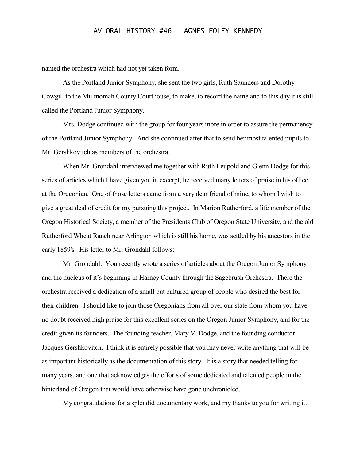named the orchestra which had not yet taken form.

As the Portland Junior Symphony, she sent the two girls, Ruth Saunders and Dorothy Cowgill to the Multnomah County Courthouse, to make, to record the name and to this day it is still called the Portland Junior Symphony.

Mrs. Dodge continued with the group for four years more in order to assure the permanency of the Portland Junior Symphony. And she continued after that to send her most talented pupils to Mr. Gershkovitch as members of the orchestra.

When Mr. Grondahl interviewed me together with Ruth Leupold and Glenn Dodge for this series of articles which I have given you in excerpt, he received many letters of praise in his office at the Oregonian. One of those letters came from a very dear friend of mine, to whom I wish to give a great deal of credit for my pursuing this project. In Marion Rutherford, a life member of the Oregon Historical Society, a member of the Presidents Club of Oregon State University, and the old Rutherford Wheat Ranch near Arlington which is still his home, was settled by his ancestors in the early 1859's. His letter to Mr. Grondahl follows:

Mr. Grondahl: You recently wrote a series of articles about the Oregon Junior Symphony and the nucleus of it's beginning in Harney County through the Sagebrush Orchestra. There the orchestra received a dedication of a small but cultured group of people who desired the best for their children. I should like to join those Oregonians from all over our state from whom you have no doubt received high praise for this excellent series on the Oregon Junior Symphony, and for the credit given its founders. The founding teacher, Mary V. Dodge, and the founding conductor Jacques Gershkovitch. I think it is entirely possible that you may never write anything that will be as important historically as the documentation of this story. It is a story that needed telling for many years, and one that acknowledges the efforts of some dedicated and talented people in the hinterland of Oregon that would have otherwise have gone unchronicled.

My congratulations for a splendid documentary work, and my thanks to you for writing it.